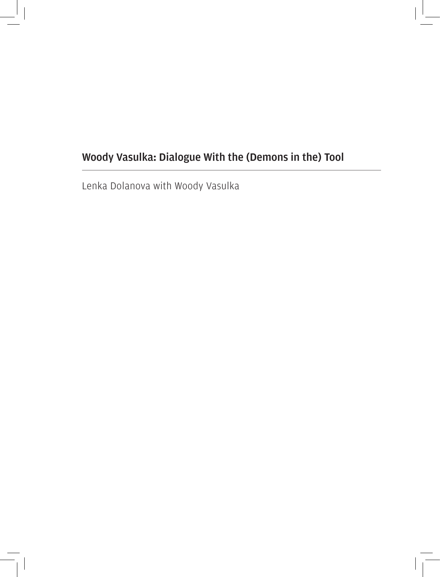# <span id="page-0-0"></span>Woody Vasulka: Dialogue With the (Demons in the) Tool

Lenka Dolanova with woody Vasulka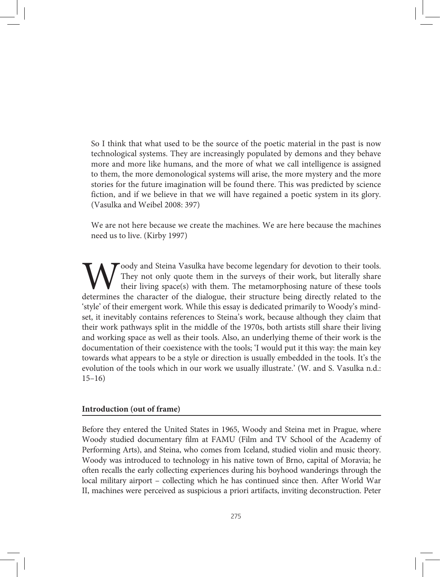So I think that what used to be the source of the poetic material in the past is now technological systems. They are increasingly populated by demons and they behave more and more like humans, and the more of what we call intelligence is assigned to them, the more demonological systems will arise, the more mystery and the more stories for the future imagination will be found there. This was predicted by science fiction, and if we believe in that we will have regained a poetic system in its glory. (Vasulka and Weibel 2008: 397)

We are not here because we create the machines. We are here because the machines need us to live. (Kirby 1997)

Woody and Steina Vasulka have become legendary for devotion to their tools.<br>They not only quote them in the surveys of their work, but literally share<br>determines the character of the dialogue, their structure being directl They not only quote them in the surveys of their work, but literally share their living space(s) with them. The metamorphosing nature of these tools determines the character of the dialogue, their structure being directly related to the 'style' of their emergent work. While this essay is dedicated primarily to Woody's mindset, it inevitably contains references to Steina's work, because although they claim that their work pathways split in the middle of the 1970s, both artists still share their living and working space as well as their tools. Also, an underlying theme of their work is the documentation of their coexistence with the tools; 'I would put it this way: the main key towards what appears to be a style or direction is usually embedded in the tools. It's the evolution of the tools which in our work we usually illustrate.' (W. and S. Vasulka n.d.: 15–16)

#### **Introduction (out of frame)**

Before they entered the United States in 1965, Woody and Steina met in Prague, where Woody studied documentary film at FAMU (Film and TV School of the Academy of Performing Arts), and Steina, who comes from Iceland, studied violin and music theory. Woody was introduced to technology in his native town of Brno, capital of Moravia; he often recalls the early collecting experiences during his boyhood wanderings through the local military airport – collecting which he has continued since then. After World War II, machines were perceived as suspicious a priori artifacts, inviting deconstruction. Peter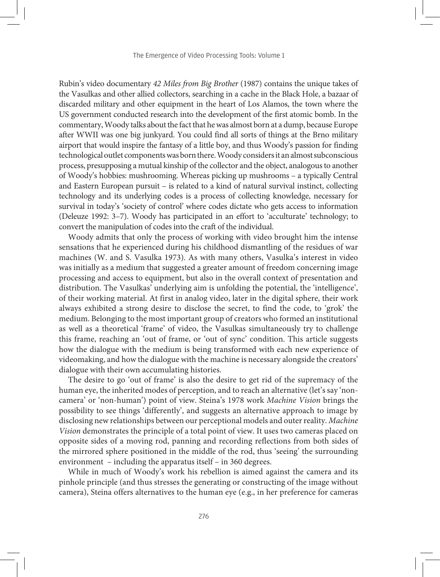Rubin's video documentary *42 Miles from Big Brother* (1987) contains the unique takes of the Vasulkas and other allied collectors, searching in a cache in the Black Hole, a bazaar of discarded military and other equipment in the heart of Los Alamos, the town where the US government conducted research into the development of the first atomic bomb. In the commentary, Woody talks about the fact that he was almost born at a dump, because Europe after WWII was one big junkyard. You could find all sorts of things at the Brno military airport that would inspire the fantasy of a little boy, and thus Woody's passion for finding technological outlet components was born there. Woody considers it an almost subconscious process, presupposing a mutual kinship of the collector and the object, analogous to another of Woody's hobbies: mushrooming. Whereas picking up mushrooms – a typically Central and Eastern European pursuit – is related to a kind of natural survival instinct, collecting technology and its underlying codes is a process of collecting knowledge, necessary for survival in today's 'society of control' where codes dictate who gets access to information (Deleuze 1992: 3–7). Woody has participated in an effort to 'acculturate' technology; to convert the manipulation of codes into the craft of the individual.

Woody admits that only the process of working with video brought him the intense sensations that he experienced during his childhood dismantling of the residues of war machines (W. and S. Vasulka 1973). As with many others, Vasulka's interest in video was initially as a medium that suggested a greater amount of freedom concerning image processing and access to equipment, but also in the overall context of presentation and distribution. The Vasulkas' underlying aim is unfolding the potential, the 'intelligence', of their working material. At first in analog video, later in the digital sphere, their work always exhibited a strong desire to disclose the secret, to find the code, to 'grok' the medium. Belonging to the most important group of creators who formed an institutional as well as a theoretical 'frame' of video, the Vasulkas simultaneously try to challenge this frame, reaching an 'out of frame, or 'out of sync' condition. This article suggests how the dialogue with the medium is being transformed with each new experience of videomaking, and how the dialogue with the machine is necessary alongside the creators' dialogue with their own accumulating histories.

The desire to go 'out of frame' is also the desire to get rid of the supremacy of the human eye, the inherited modes of perception, and to reach an alternative (let's say 'noncamera' or 'non-human') point of view. Steina's 1978 work *Machine Vision* brings the possibility to see things 'differently', and suggests an alternative approach to image by disclosing new relationships between our perceptional models and outer reality. *Machine Vision* demonstrates the principle of a total point of view. It uses two cameras placed on opposite sides of a moving rod, panning and recording reflections from both sides of the mirrored sphere positioned in the middle of the rod, thus 'seeing' the surrounding environment – including the apparatus itself – in 360 degrees.

While in much of Woody's work his rebellion is aimed against the camera and its pinhole principle (and thus stresses the generating or constructing of the image without camera), Steina offers alternatives to the human eye (e.g., in her preference for cameras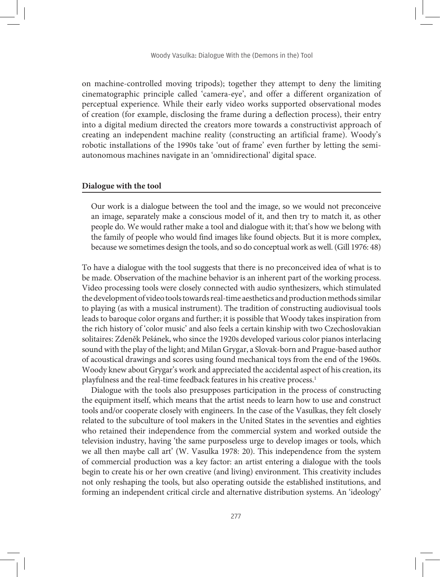on machine-controlled moving tripods); together they attempt to deny the limiting cinematographic principle called 'camera-eye', and offer a different organization of perceptual experience. While their early video works supported observational modes of creation (for example, disclosing the frame during a deflection process), their entry into a digital medium directed the creators more towards a constructivist approach of creating an independent machine reality (constructing an artificial frame). Woody's robotic installations of the 1990s take 'out of frame' even further by letting the semiautonomous machines navigate in an 'omnidirectional' digital space.

#### **Dialogue with the tool**

Our work is a dialogue between the tool and the image, so we would not preconceive an image, separately make a conscious model of it, and then try to match it, as other people do. We would rather make a tool and dialogue with it; that's how we belong with the family of people who would find images like found objects. But it is more complex, because we sometimes design the tools, and so do conceptual work as well. (Gill 1976: 48)

To have a dialogue with the tool suggests that there is no preconceived idea of what is to be made. Observation of the machine behavior is an inherent part of the working process. Video processing tools were closely connected with audio synthesizers, which stimulated the development of video tools towards real-time aesthetics and production methods similar to playing (as with a musical instrument). The tradition of constructing audiovisual tools leads to baroque color organs and further; it is possible that Woody takes inspiration from the rich history of 'color music' and also feels a certain kinship with two Czechoslovakian solitaires: Zdeněk Pešánek, who since the 1920s developed various color pianos interlacing sound with the play of the light; and Milan Grygar, a Slovak-born and Prague-based author of acoustical drawings and scores using found mechanical toys from the end of the 1960s. Woody knew about Grygar's work and appreciated the accidental aspect of his creation, its playfulness and the real-time feedback features in his creative process.<sup>1</sup>

Dialogue with the tools also presupposes participation in the process of constructing the equipment itself, which means that the artist needs to learn how to use and construct tools and/or cooperate closely with engineers. In the case of the Vasulkas, they felt closely related to the subculture of tool makers in the United States in the seventies and eighties who retained their independence from the commercial system and worked outside the television industry, having 'the same purposeless urge to develop images or tools, which we all then maybe call art' (W. Vasulka 1978: 20). This independence from the system of commercial production was a key factor: an artist entering a dialogue with the tools begin to create his or her own creative (and living) environment. This creativity includes not only reshaping the tools, but also operating outside the established institutions, and forming an independent critical circle and alternative distribution systems. An 'ideology'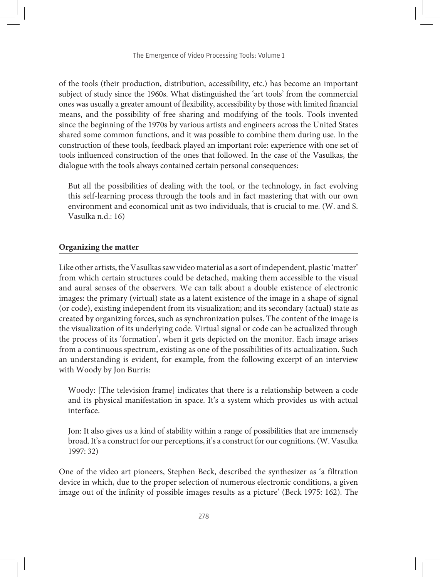of the tools (their production, distribution, accessibility, etc.) has become an important subject of study since the 1960s. What distinguished the 'art tools' from the commercial ones was usually a greater amount of flexibility, accessibility by those with limited financial means, and the possibility of free sharing and modifying of the tools. Tools invented since the beginning of the 1970s by various artists and engineers across the United States shared some common functions, and it was possible to combine them during use. In the construction of these tools, feedback played an important role: experience with one set of tools influenced construction of the ones that followed. In the case of the Vasulkas, the dialogue with the tools always contained certain personal consequences:

But all the possibilities of dealing with the tool, or the technology, in fact evolving this self-learning process through the tools and in fact mastering that with our own environment and economical unit as two individuals, that is crucial to me. (W. and S. Vasulka n.d.: 16)

# **Organizing the matter**

Like other artists, the Vasulkas saw video material as a sort of independent, plastic 'matter' from which certain structures could be detached, making them accessible to the visual and aural senses of the observers. We can talk about a double existence of electronic images: the primary (virtual) state as a latent existence of the image in a shape of signal (or code), existing independent from its visualization; and its secondary (actual) state as created by organizing forces, such as synchronization pulses. The content of the image is the visualization of its underlying code. Virtual signal or code can be actualized through the process of its 'formation', when it gets depicted on the monitor. Each image arises from a continuous spectrum, existing as one of the possibilities of its actualization. Such an understanding is evident, for example, from the following excerpt of an interview with Woody by Jon Burris:

Woody: [The television frame] indicates that there is a relationship between a code and its physical manifestation in space. It's a system which provides us with actual interface.

Jon: It also gives us a kind of stability within a range of possibilities that are immensely broad. It's a construct for our perceptions, it's a construct for our cognitions. (W. Vasulka 1997: 32)

One of the video art pioneers, Stephen Beck, described the synthesizer as 'a filtration device in which, due to the proper selection of numerous electronic conditions, a given image out of the infinity of possible images results as a picture' (Beck 1975: 162). The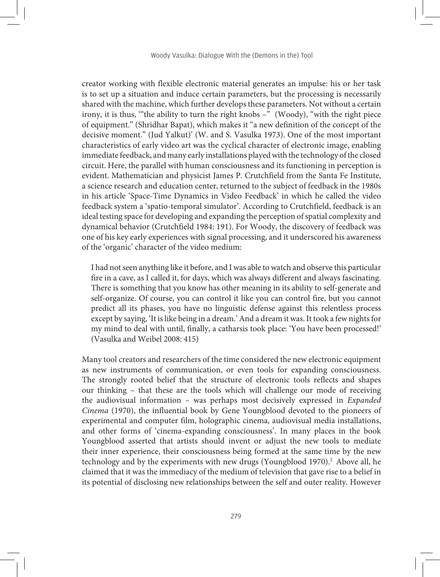creator working with flexible electronic material generates an impulse: his or her task is to set up a situation and induce certain parameters, but the processing is necessarily shared with the machine, which further develops these parameters. Not without a certain irony, it is thus, '"the ability to turn the right knobs –" (Woody), "with the right piece of equipment." (Shridhar Bapat), which makes it "a new definition of the concept of the decisive moment." (Jud Yalkut)' (W. and S. Vasulka 1973). One of the most important characteristics of early video art was the cyclical character of electronic image, enabling immediate feedback, and many early installations played with the technology of the closed circuit. Here, the parallel with human consciousness and its functioning in perception is evident. Mathematician and physicist James P. Crutchfield from the Santa Fe Institute, a science research and education center, returned to the subject of feedback in the 1980s in his article 'Space-Time Dynamics in Video Feedback' in which he called the video feedback system a 'spatio-temporal simulator'. According to Crutchfield, feedback is an ideal testing space for developing and expanding the perception of spatial complexity and dynamical behavior (Crutchfield 1984: 191). For Woody, the discovery of feedback was one of his key early experiences with signal processing, and it underscored his awareness of the 'organic' character of the video medium:

I had not seen anything like it before, and I was able to watch and observe this particular fire in a cave, as I called it, for days, which was always different and always fascinating. There is something that you know has other meaning in its ability to self-generate and self-organize. Of course, you can control it like you can control fire, but you cannot predict all its phases, you have no linguistic defense against this relentless process except by saying, 'It is like being in a dream.' And a dream it was. It took a few nights for my mind to deal with until, finally, a catharsis took place: 'You have been processed!' (Vasulka and Weibel 2008: 415)

Many tool creators and researchers of the time considered the new electronic equipment as new instruments of communication, or even tools for expanding consciousness. The strongly rooted belief that the structure of electronic tools reflects and shapes our thinking - that these are the tools which will challenge our mode of receiving the audiovisual information – was perhaps most decisively expressed in *Expanded Cinema* (1970), the influential book by Gene Youngblood devoted to the pioneers of experimental and computer film, holographic cinema, audiovisual media installations, and other forms of 'cinema-expanding consciousness'. In many places in the book Youngblood asserted that artists should invent or adjust the new tools to mediate their inner experience, their consciousness being formed at the same time by the new technology and by the experiments with new drugs (Youngblood 1970).<sup>2</sup> Above all, he claimed that it was the immediacy of the medium of television that gave rise to a belief in its potential of disclosing new relationships between the self and outer reality. However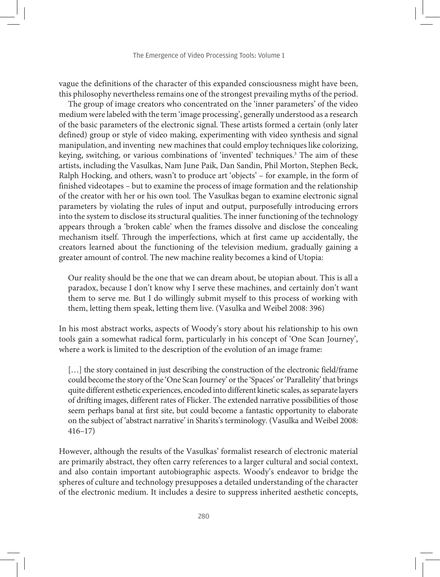vague the definitions of the character of this expanded consciousness might have been, this philosophy nevertheless remains one of the strongest prevailing myths of the period.

The group of image creators who concentrated on the 'inner parameters' of the video medium were labeled with the term 'image processing', generally understood as a research of the basic parameters of the electronic signal. These artists formed a certain (only later defined) group or style of video making, experimenting with video synthesis and signal manipulation, and inventing new machines that could employ techniques like colorizing, keying, switching, or various combinations of 'invented' techniques.<sup>3</sup> The aim of these artists, including the Vasulkas, Nam June Paik, Dan Sandin, Phil Morton, Stephen Beck, Ralph Hocking, and others, wasn't to produce art 'objects' – for example, in the form of finished videotapes – but to examine the process of image formation and the relationship of the creator with her or his own tool. The Vasulkas began to examine electronic signal parameters by violating the rules of input and output, purposefully introducing errors into the system to disclose its structural qualities. The inner functioning of the technology appears through a 'broken cable' when the frames dissolve and disclose the concealing mechanism itself. Through the imperfections, which at first came up accidentally, the creators learned about the functioning of the television medium, gradually gaining a greater amount of control. The new machine reality becomes a kind of Utopia:

Our reality should be the one that we can dream about, be utopian about. This is all a paradox, because I don't know why I serve these machines, and certainly don't want them to serve me. But I do willingly submit myself to this process of working with them, letting them speak, letting them live. (Vasulka and Weibel 2008: 396)

In his most abstract works, aspects of Woody's story about his relationship to his own tools gain a somewhat radical form, particularly in his concept of 'One Scan Journey', where a work is limited to the description of the evolution of an image frame:

[...] the story contained in just describing the construction of the electronic field/frame could become the story of the 'One Scan Journey' or the 'Spaces' or 'Parallelity' that brings quite different esthetic experiences, encoded into different kinetic scales, as separate layers of drifting images, different rates of Flicker. The extended narrative possibilities of those seem perhaps banal at first site, but could become a fantastic opportunity to elaborate on the subject of 'abstract narrative' in Sharits's terminology. (Vasulka and Weibel 2008: 416–17)

However, although the results of the Vasulkas' formalist research of electronic material are primarily abstract, they often carry references to a larger cultural and social context, and also contain important autobiographic aspects. Woody's endeavor to bridge the spheres of culture and technology presupposes a detailed understanding of the character of the electronic medium. It includes a desire to suppress inherited aesthetic concepts,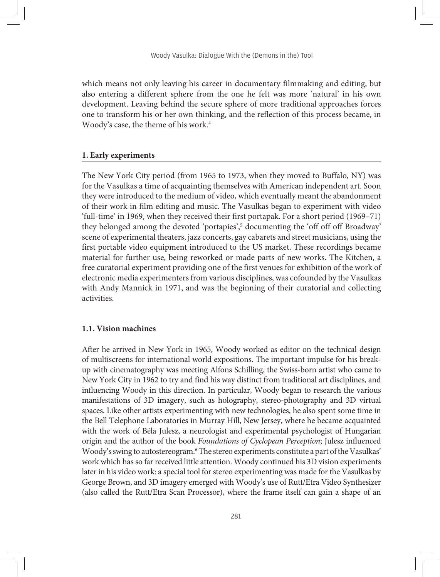which means not only leaving his career in documentary filmmaking and editing, but also entering a different sphere from the one he felt was more 'natural' in his own development. Leaving behind the secure sphere of more traditional approaches forces one to transform his or her own thinking, and the reflection of this process became, in Woody's case, the theme of his work.4

#### **1. Early experiments**

The New York City period (from 1965 to 1973, when they moved to Buffalo, NY) was for the Vasulkas a time of acquainting themselves with American independent art. Soon they were introduced to the medium of video, which eventually meant the abandonment of their work in film editing and music. The Vasulkas began to experiment with video 'full-time' in 1969, when they received their first portapak. For a short period (1969–71) they belonged among the devoted 'portapies',<sup>5</sup> documenting the 'off off off Broadway' scene of experimental theaters, jazz concerts, gay cabarets and street musicians, using the first portable video equipment introduced to the US market. These recordings became material for further use, being reworked or made parts of new works. The Kitchen, a free curatorial experiment providing one of the first venues for exhibition of the work of electronic media experimenters from various disciplines, was cofounded by the Vasulkas with Andy Mannick in 1971, and was the beginning of their curatorial and collecting activities.

#### **1.1. Vision machines**

After he arrived in New York in 1965, Woody worked as editor on the technical design of multiscreens for international world expositions. The important impulse for his breakup with cinematography was meeting Alfons Schilling, the Swiss-born artist who came to New York City in 1962 to try and find his way distinct from traditional art disciplines, and influencing Woody in this direction. In particular, Woody began to research the various manifestations of 3D imagery, such as holography, stereo-photography and 3D virtual spaces. Like other artists experimenting with new technologies, he also spent some time in the Bell Telephone Laboratories in Murray Hill, New Jersey, where he became acquainted with the work of Béla Julesz, a neurologist and experimental psychologist of Hungarian origin and the author of the book *Foundations of Cyclopean Perception*; Julesz influenced Woody's swing to autostereogram.<sup>6</sup> The stereo experiments constitute a part of the Vasulkas' work which has so far received little attention. Woody continued his 3D vision experiments later in his video work: a special tool for stereo experimenting was made for the Vasulkas by George Brown, and 3D imagery emerged with Woody's use of Rutt/Etra Video Synthesizer (also called the Rutt/Etra Scan Processor), where the frame itself can gain a shape of an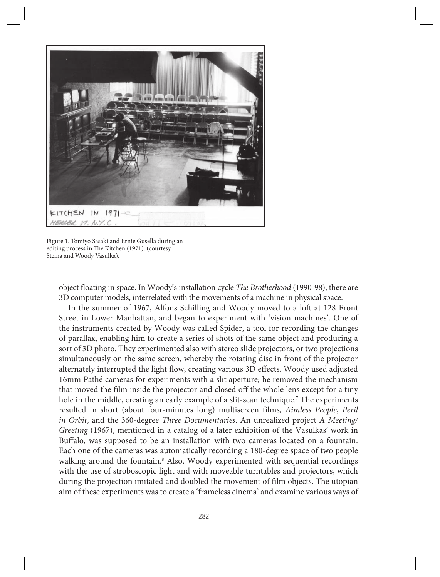

Figure 1. Tomiyo Sasaki and Ernie Gusella during an editing process in The Kitchen (1971). (courtesy. Steina and Woody Vasulka).

object floating in space. In Woody's installation cycle *The Brotherhood* (1990-98), there are 3D computer models, interrelated with the movements of a machine in physical space.

In the summer of 1967, Alfons Schilling and Woody moved to a loft at 128 Front Street in Lower Manhattan, and began to experiment with 'vision machines'. One of the instruments created by Woody was called Spider, a tool for recording the changes of parallax, enabling him to create a series of shots of the same object and producing a sort of 3D photo. They experimented also with stereo slide projectors, or two projections simultaneously on the same screen, whereby the rotating disc in front of the projector alternately interrupted the light flow, creating various 3D effects. Woody used adjusted 16mm Pathé cameras for experiments with a slit aperture; he removed the mechanism that moved the film inside the projector and closed off the whole lens except for a tiny hole in the middle, creating an early example of a slit-scan technique.7 The experiments resulted in short (about four-minutes long) multiscreen films, *Aimless People*, *Peril in Orbit*, and the 360-degree *Three Documentaries*. An unrealized project *A Meeting/ Greeting* (1967), mentioned in a catalog of a later exhibition of the Vasulkas' work in Buffalo, was supposed to be an installation with two cameras located on a fountain. Each one of the cameras was automatically recording a 180-degree space of two people walking around the fountain.<sup>8</sup> Also, Woody experimented with sequential recordings with the use of stroboscopic light and with moveable turntables and projectors, which during the projection imitated and doubled the movement of film objects. The utopian aim of these experiments was to create a 'frameless cinema' and examine various ways of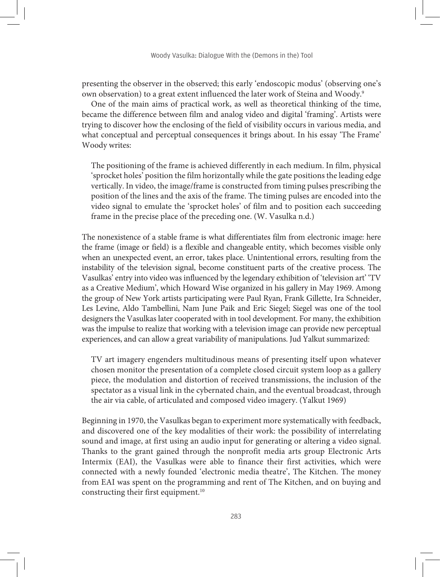presenting the observer in the observed; this early 'endoscopic modus' (observing one's own observation) to a great extent influenced the later work of Steina and Woody.<sup>9</sup>

One of the main aims of practical work, as well as theoretical thinking of the time, became the difference between film and analog video and digital 'framing'. Artists were trying to discover how the enclosing of the field of visibility occurs in various media, and what conceptual and perceptual consequences it brings about. In his essay 'The Frame' Woody writes:

The positioning of the frame is achieved differently in each medium. In film, physical 'sprocket holes' position the film horizontally while the gate positions the leading edge vertically. In video, the image/frame is constructed from timing pulses prescribing the position of the lines and the axis of the frame. The timing pulses are encoded into the video signal to emulate the 'sprocket holes' of film and to position each succeeding frame in the precise place of the preceding one. (W. Vasulka n.d.)

The nonexistence of a stable frame is what differentiates film from electronic image: here the frame (image or field) is a flexible and changeable entity, which becomes visible only when an unexpected event, an error, takes place. Unintentional errors, resulting from the instability of the television signal, become constituent parts of the creative process. The Vasulkas' entry into video was influenced by the legendary exhibition of 'television art' 'TV as a Creative Medium', which Howard Wise organized in his gallery in May 1969. Among the group of New York artists participating were Paul Ryan, Frank Gillette, Ira Schneider, Les Levine, Aldo Tambellini, Nam June Paik and Eric Siegel; Siegel was one of the tool designers the Vasulkas later cooperated with in tool development. For many, the exhibition was the impulse to realize that working with a television image can provide new perceptual experiences, and can allow a great variability of manipulations. Jud Yalkut summarized:

TV art imagery engenders multitudinous means of presenting itself upon whatever chosen monitor the presentation of a complete closed circuit system loop as a gallery piece, the modulation and distortion of received transmissions, the inclusion of the spectator as a visual link in the cybernated chain, and the eventual broadcast, through the air via cable, of articulated and composed video imagery. (Yalkut 1969)

Beginning in 1970, the Vasulkas began to experiment more systematically with feedback, and discovered one of the key modalities of their work: the possibility of interrelating sound and image, at first using an audio input for generating or altering a video signal. Thanks to the grant gained through the nonprofit media arts group Electronic Arts Intermix (EAI), the Vasulkas were able to finance their first activities, which were connected with a newly founded 'electronic media theatre', The Kitchen. The money from EAI was spent on the programming and rent of The Kitchen, and on buying and constructing their first equipment.<sup>10</sup>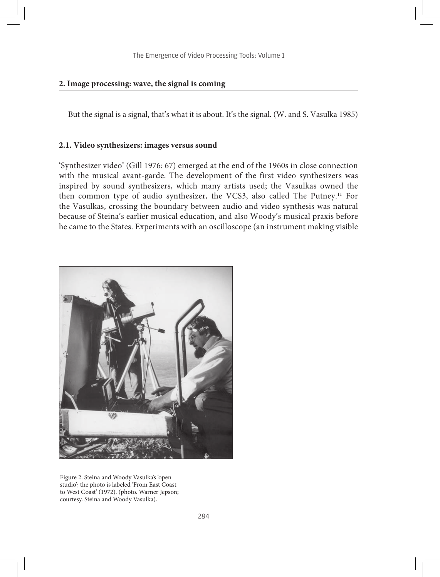#### **2. Image processing: wave, the signal is coming**

But the signal is a signal, that's what it is about. It's the signal. (W. and S. Vasulka 1985)

#### **2.1. Video synthesizers: images versus sound**

'Synthesizer video' (Gill 1976: 67) emerged at the end of the 1960s in close connection with the musical avant-garde. The development of the first video synthesizers was inspired by sound synthesizers, which many artists used; the Vasulkas owned the then common type of audio synthesizer, the VCS3, also called The Putney.11 For the Vasulkas, crossing the boundary between audio and video synthesis was natural because of Steina's earlier musical education, and also Woody's musical praxis before he came to the States. Experiments with an oscilloscope (an instrument making visible



Figure 2. Steina and Woody Vasulka's 'open studio'; the photo is labeled 'From East Coast to West Coast' (1972). (photo. Warner Jepson; courtesy. Steina and Woody Vasulka).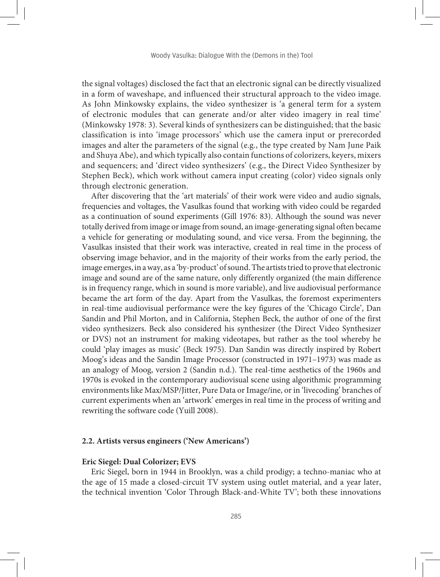the signal voltages) disclosed the fact that an electronic signal can be directly visualized in a form of waveshape, and influenced their structural approach to the video image. As John Minkowsky explains, the video synthesizer is 'a general term for a system of electronic modules that can generate and/or alter video imagery in real time' (Minkowsky 1978: 3). Several kinds of synthesizers can be distinguished; that the basic classification is into 'image processors' which use the camera input or prerecorded images and alter the parameters of the signal (e.g., the type created by Nam June Paik and Shuya Abe), and which typically also contain functions of colorizers, keyers, mixers and sequencers; and 'direct video synthesizers' (e.g., the Direct Video Synthesizer by Stephen Beck), which work without camera input creating (color) video signals only through electronic generation.

After discovering that the 'art materials' of their work were video and audio signals, frequencies and voltages, the Vasulkas found that working with video could be regarded as a continuation of sound experiments (Gill 1976: 83). Although the sound was never totally derived from image or image from sound, an image-generating signal often became a vehicle for generating or modulating sound, and vice versa. From the beginning, the Vasulkas insisted that their work was interactive, created in real time in the process of observing image behavior, and in the majority of their works from the early period, the image emerges, in a way, as a 'by-product' of sound. The artists tried to prove that electronic image and sound are of the same nature, only differently organized (the main difference is in frequency range, which in sound is more variable), and live audiovisual performance became the art form of the day. Apart from the Vasulkas, the foremost experimenters in real-time audiovisual performance were the key figures of the 'Chicago Circle', Dan Sandin and Phil Morton, and in California, Stephen Beck, the author of one of the first video synthesizers. Beck also considered his synthesizer (the Direct Video Synthesizer or DVS) not an instrument for making videotapes, but rather as the tool whereby he could 'play images as music' (Beck 1975). Dan Sandin was directly inspired by Robert Moog's ideas and the Sandin Image Processor (constructed in 1971–1973) was made as an analogy of Moog, version 2 (Sandin n.d.). The real-time aesthetics of the 1960s and 1970s is evoked in the contemporary audiovisual scene using algorithmic programming environments like Max/MSP/Jitter, Pure Data or Image/ine, or in 'livecoding' branches of current experiments when an 'artwork' emerges in real time in the process of writing and rewriting the software code (Yuill 2008).

#### **2.2. Artists versus engineers ('New Americans')**

#### **Eric Siegel: Dual Colorizer; EVS**

Eric Siegel, born in 1944 in Brooklyn, was a child prodigy; a techno-maniac who at the age of 15 made a closed-circuit TV system using outlet material, and a year later, the technical invention 'Color Through Black-and-White TV'; both these innovations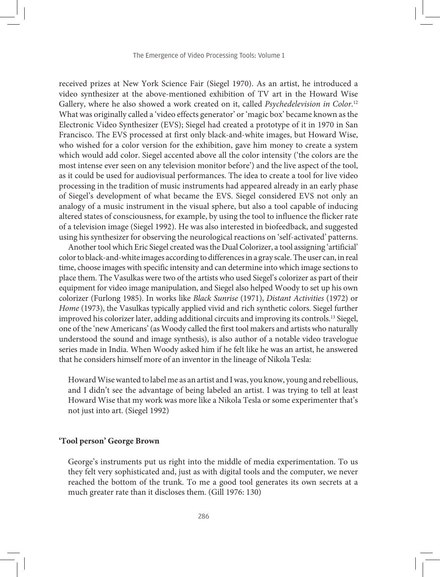received prizes at New York Science Fair (Siegel 1970). As an artist, he introduced a video synthesizer at the above-mentioned exhibition of TV art in the Howard Wise Gallery, where he also showed a work created on it, called *Psychedelevision in Color*. 12 What was originally called a 'video effects generator' or 'magic box' became known as the Electronic Video Synthesizer (EVS); Siegel had created a prototype of it in 1970 in San Francisco. The EVS processed at first only black-and-white images, but Howard Wise, who wished for a color version for the exhibition, gave him money to create a system which would add color. Siegel accented above all the color intensity ('the colors are the most intense ever seen on any television monitor before') and the live aspect of the tool, as it could be used for audiovisual performances. The idea to create a tool for live video processing in the tradition of music instruments had appeared already in an early phase of Siegel's development of what became the EVS. Siegel considered EVS not only an analogy of a music instrument in the visual sphere, but also a tool capable of inducing altered states of consciousness, for example, by using the tool to influence the flicker rate of a television image (Siegel 1992). He was also interested in biofeedback, and suggested using his synthesizer for observing the neurological reactions on 'self-activated' patterns.

Another tool which Eric Siegel created was the Dual Colorizer, a tool assigning 'artificial' color to black-and-white images according to differences in a gray scale. The user can, in real time, choose images with specific intensity and can determine into which image sections to place them. The Vasulkas were two of the artists who used Siegel's colorizer as part of their equipment for video image manipulation, and Siegel also helped Woody to set up his own colorizer (Furlong 1985). In works like *Black Sunrise* (1971), *Distant Activities* (1972) or *Home* (1973), the Vasulkas typically applied vivid and rich synthetic colors. Siegel further improved his colorizer later, adding additional circuits and improving its controls.<sup>13</sup> Siegel, one of the 'new Americans' (as Woody called the first tool makers and artists who naturally understood the sound and image synthesis), is also author of a notable video travelogue series made in India. When Woody asked him if he felt like he was an artist, he answered that he considers himself more of an inventor in the lineage of Nikola Tesla:

Howard Wise wanted to label me as an artist and I was, you know, young and rebellious, and I didn't see the advantage of being labeled an artist. I was trying to tell at least Howard Wise that my work was more like a Nikola Tesla or some experimenter that's not just into art. (Siegel 1992)

#### **'Tool person' George Brown**

George's instruments put us right into the middle of media experimentation. To us they felt very sophisticated and, just as with digital tools and the computer, we never reached the bottom of the trunk. To me a good tool generates its own secrets at a much greater rate than it discloses them. (Gill 1976: 130)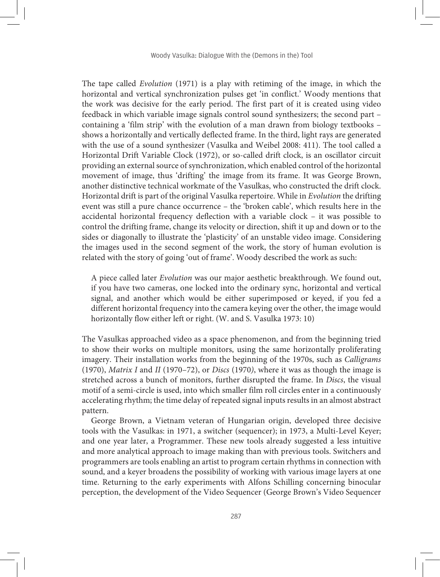The tape called *Evolution* (1971) is a play with retiming of the image, in which the horizontal and vertical synchronization pulses get 'in conflict.' Woody mentions that the work was decisive for the early period. The first part of it is created using video feedback in which variable image signals control sound synthesizers; the second part – containing a 'film strip' with the evolution of a man drawn from biology textbooks – shows a horizontally and vertically deflected frame. In the third, light rays are generated with the use of a sound synthesizer (Vasulka and Weibel 2008: 411). The tool called a Horizontal Drift Variable Clock (1972), or so-called drift clock, is an oscillator circuit providing an external source of synchronization, which enabled control of the horizontal movement of image, thus 'drifting' the image from its frame. It was George Brown, another distinctive technical workmate of the Vasulkas, who constructed the drift clock. Horizontal drift is part of the original Vasulka repertoire. While in *Evolution* the drifting event was still a pure chance occurrence – the 'broken cable', which results here in the accidental horizontal frequency deflection with a variable clock – it was possible to control the drifting frame, change its velocity or direction, shift it up and down or to the sides or diagonally to illustrate the 'plasticity' of an unstable video image. Considering the images used in the second segment of the work, the story of human evolution is related with the story of going 'out of frame'. Woody described the work as such:

A piece called later *Evolution* was our major aesthetic breakthrough. We found out, if you have two cameras, one locked into the ordinary sync, horizontal and vertical signal, and another which would be either superimposed or keyed, if you fed a different horizontal frequency into the camera keying over the other, the image would horizontally flow either left or right. (W. and S. Vasulka 1973: 10)

The Vasulkas approached video as a space phenomenon, and from the beginning tried to show their works on multiple monitors, using the same horizontally proliferating imagery. Their installation works from the beginning of the 1970s, such as *Calligrams*  (1970), *Matrix I* and *II* (1970–72), or *Discs* (1970*)*, where it was as though the image is stretched across a bunch of monitors, further disrupted the frame. In *Discs*, the visual motif of a semi-circle is used, into which smaller film roll circles enter in a continuously accelerating rhythm; the time delay of repeated signal inputs results in an almost abstract pattern.

George Brown, a Vietnam veteran of Hungarian origin, developed three decisive tools with the Vasulkas: in 1971, a switcher (sequencer); in 1973, a Multi-Level Keyer; and one year later, a Programmer. These new tools already suggested a less intuitive and more analytical approach to image making than with previous tools. Switchers and programmers are tools enabling an artist to program certain rhythms in connection with sound, and a keyer broadens the possibility of working with various image layers at one time. Returning to the early experiments with Alfons Schilling concerning binocular perception, the development of the Video Sequencer (George Brown's Video Sequencer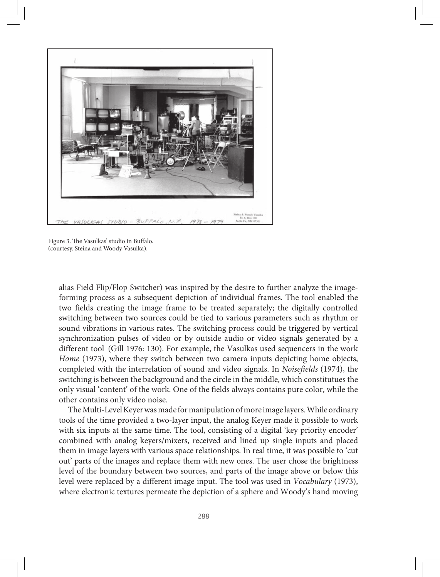

Figure 3. The Vasulkas' studio in Buffalo. (courtesy. Steina and Woody Vasulka).

alias Field Flip/Flop Switcher) was inspired by the desire to further analyze the imageforming process as a subsequent depiction of individual frames. The tool enabled the two fields creating the image frame to be treated separately; the digitally controlled switching between two sources could be tied to various parameters such as rhythm or sound vibrations in various rates. The switching process could be triggered by vertical synchronization pulses of video or by outside audio or video signals generated by a different tool (Gill 1976: 130). For example, the Vasulkas used sequencers in the work *Home* (1973), where they switch between two camera inputs depicting home objects, completed with the interrelation of sound and video signals. In *Noisefields* (1974), the switching is between the background and the circle in the middle, which constitutues the only visual 'content' of the work. One of the fields always contains pure color, while the other contains only video noise.

The Multi-Level Keyer was made for manipulation of more image layers. While ordinary tools of the time provided a two-layer input, the analog Keyer made it possible to work with six inputs at the same time. The tool, consisting of a digital 'key priority encoder' combined with analog keyers/mixers, received and lined up single inputs and placed them in image layers with various space relationships. In real time, it was possible to 'cut out' parts of the images and replace them with new ones. The user chose the brightness level of the boundary between two sources, and parts of the image above or below this level were replaced by a different image input. The tool was used in *Vocabulary* (1973), where electronic textures permeate the depiction of a sphere and Woody's hand moving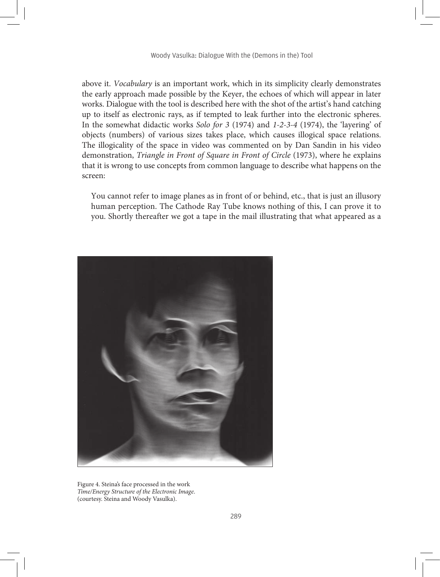above it. *Vocabulary* is an important work, which in its simplicity clearly demonstrates the early approach made possible by the Keyer, the echoes of which will appear in later works. Dialogue with the tool is described here with the shot of the artist's hand catching up to itself as electronic rays, as if tempted to leak further into the electronic spheres. In the somewhat didactic works *Solo for 3* (1974) and *1-2-3-4* (1974), the 'layering' of objects (numbers) of various sizes takes place, which causes illogical space relations. The illogicality of the space in video was commented on by Dan Sandin in his video demonstration, *Triangle in Front of Square in Front of Circle* (1973), where he explains that it is wrong to use concepts from common language to describe what happens on the screen:

You cannot refer to image planes as in front of or behind, etc., that is just an illusory human perception. The Cathode Ray Tube knows nothing of this, I can prove it to you. Shortly thereafter we got a tape in the mail illustrating that what appeared as a



Figure 4. Steina's face processed in the work *Time/Energy Structure of the Electronic Image*. (courtesy. Steina and Woody Vasulka).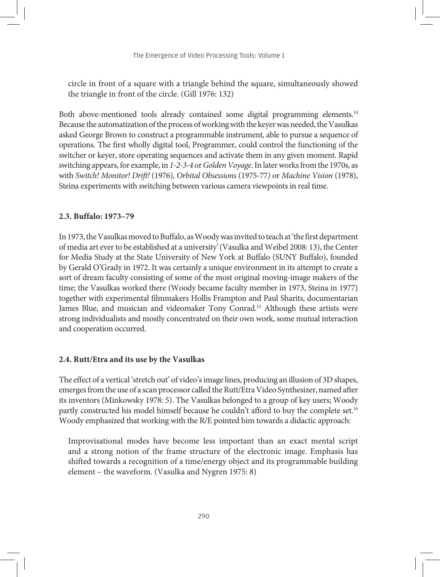circle in front of a square with a triangle behind the square, simultaneously showed the triangle in front of the circle. (Gill 1976: 132)

Both above-mentioned tools already contained some digital programming elements.14 Because the automatization of the process of working with the keyer was needed, the Vasulkas asked George Brown to construct a programmable instrument, able to pursue a sequence of operations. The first wholly digital tool, Programmer, could control the functioning of the switcher or keyer, store operating sequences and activate them in any given moment. Rapid switching appears, for example, in *1-2-3-4* or *Golden Voyage*. In later works from the 1970s, as with *Switch! Monitor! Drift!* (1976), *Orbital Obsessions* (1975-77*)* or *Machine Vision* (1978), Steina experiments with switching between various camera viewpoints in real time.

# **2.3. Buffalo: 1973–79**

In 1973, the Vasulkas moved to Buffalo, as Woody was invited to teach at 'the first department of media art ever to be established at a university'(Vasulka and Weibel 2008: 13), the Center for Media Study at the State University of New York at Buffalo (SUNY Buffalo), founded by Gerald O'Grady in 1972. It was certainly a unique environment in its attempt to create a sort of dream faculty consisting of some of the most original moving-image makers of the time; the Vasulkas worked there (Woody became faculty member in 1973, Steina in 1977) together with experimental filmmakers Hollis Frampton and Paul Sharits, documentarian James Blue, and musician and videomaker Tony Conrad.15 Although these artists were strong individualists and mostly concentrated on their own work, some mutual interaction and cooperation occurred.

# **2.4. Rutt/Etra and its use by the Vasulkas**

The effect of a vertical 'stretch out' of video's image lines, producing an illusion of 3D shapes, emerges from the use of a scan processor called the Rutt/Etra Video Synthesizer, named after its inventors (Minkowsky 1978: 5). The Vasulkas belonged to a group of key users; Woody partly constructed his model himself because he couldn't afford to buy the complete set.<sup>16</sup> Woody emphasized that working with the R/E pointed him towards a didactic approach:

Improvisational modes have become less important than an exact mental script and a strong notion of the frame structure of the electronic image. Emphasis has shifted towards a recognition of a time/energy object and its programmable building element – the waveform. (Vasulka and Nygren 1975: 8)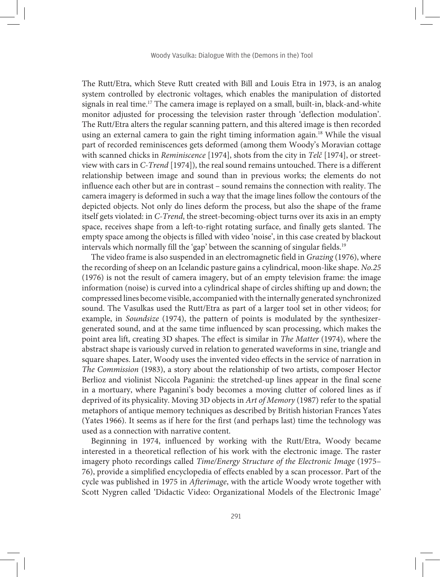The Rutt/Etra, which Steve Rutt created with Bill and Louis Etra in 1973, is an analog system controlled by electronic voltages, which enables the manipulation of distorted signals in real time.<sup>17</sup> The camera image is replayed on a small, built-in, black-and-white monitor adjusted for processing the television raster through 'deflection modulation'. The Rutt/Etra alters the regular scanning pattern, and this altered image is then recorded using an external camera to gain the right timing information again.<sup>18</sup> While the visual part of recorded reminiscences gets deformed (among them Woody's Moravian cottage with scanned chicks in *Reminiscence* [1974], shots from the city in *Telč* [1974], or streetview with cars in *C-Trend* [1974]), the real sound remains untouched. There is a different relationship between image and sound than in previous works; the elements do not influence each other but are in contrast – sound remains the connection with reality. The camera imagery is deformed in such a way that the image lines follow the contours of the depicted objects. Not only do lines deform the process, but also the shape of the frame itself gets violated: in *C-Trend*, the street-becoming-object turns over its axis in an empty space, receives shape from a left-to-right rotating surface, and finally gets slanted. The empty space among the objects is filled with video 'noise', in this case created by blackout intervals which normally fill the 'gap' between the scanning of singular fields.<sup>19</sup>

The video frame is also suspended in an electromagnetic field in *Grazing* (1976), where the recording of sheep on an Icelandic pasture gains a cylindrical, moon-like shape. *No.25* (1976) is not the result of camera imagery, but of an empty television frame: the image information (noise) is curved into a cylindrical shape of circles shifting up and down; the compressed lines become visible, accompanied with the internally generated synchronized sound. The Vasulkas used the Rutt/Etra as part of a larger tool set in other videos; for example, in *Soundsize* (1974), the pattern of points is modulated by the synthesizergenerated sound, and at the same time influenced by scan processing, which makes the point area lift, creating 3D shapes. The effect is similar in *The Matter* (1974), where the abstract shape is variously curved in relation to generated waveforms in sine, triangle and square shapes. Later, Woody uses the invented video effects in the service of narration in *The Commission* (1983), a story about the relationship of two artists, composer Hector Berlioz and violinist Niccola Paganini: the stretched-up lines appear in the final scene in a mortuary, where Paganini's body becomes a moving clutter of colored lines as if deprived of its physicality. Moving 3D objects in *Art of Memory* (1987) refer to the spatial metaphors of antique memory techniques as described by British historian Frances Yates (Yates 1966). It seems as if here for the first (and perhaps last) time the technology was used as a connection with narrative content.

Beginning in 1974, influenced by working with the Rutt/Etra, Woody became interested in a theoretical reflection of his work with the electronic image. The raster imagery photo recordings called *Time/Energy Structure of the Electronic Image* (1975– 76), provide a simplified encyclopedia of effects enabled by a scan processor. Part of the cycle was published in 1975 in *Afterimage*, with the article Woody wrote together with Scott Nygren called 'Didactic Video: Organizational Models of the Electronic Image'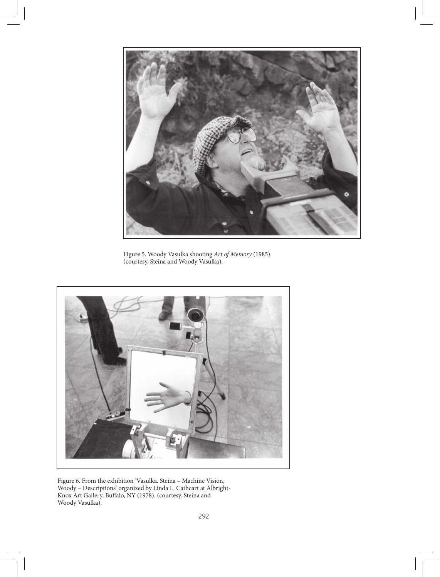

Figure 5. Woody Vasulka shooting *Art of Memory* (1985). (courtesy. Steina and Woody Vasulka).



Figure 6. From the exhibition 'Vasulka. Steina – Machine Vision, Woody – Descriptions' organized by Linda L. Cathcart at Albright-Knox Art Gallery, Buffalo, NY (1978). (courtesy. Steina and Woody Vasulka).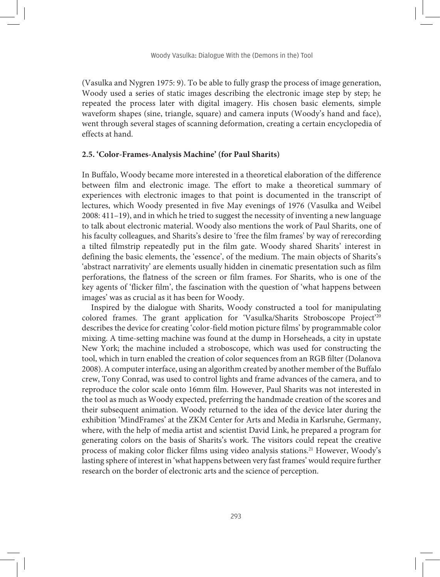(Vasulka and Nygren 1975: 9). To be able to fully grasp the process of image generation, Woody used a series of static images describing the electronic image step by step; he repeated the process later with digital imagery. His chosen basic elements, simple waveform shapes (sine, triangle, square) and camera inputs (Woody's hand and face), went through several stages of scanning deformation, creating a certain encyclopedia of effects at hand.

#### **2.5. 'Color-Frames-Analysis Machine' (for Paul Sharits)**

In Buffalo, Woody became more interested in a theoretical elaboration of the difference between film and electronic image. The effort to make a theoretical summary of experiences with electronic images to that point is documented in the transcript of lectures, which Woody presented in five May evenings of 1976 (Vasulka and Weibel 2008: 411–19), and in which he tried to suggest the necessity of inventing a new language to talk about electronic material. Woody also mentions the work of Paul Sharits, one of his faculty colleagues, and Sharits's desire to 'free the film frames' by way of rerecording a tilted filmstrip repeatedly put in the film gate. Woody shared Sharits' interest in defining the basic elements, the 'essence', of the medium. The main objects of Sharits's 'abstract narrativity' are elements usually hidden in cinematic presentation such as film perforations, the flatness of the screen or film frames. For Sharits, who is one of the key agents of 'flicker film', the fascination with the question of 'what happens between images' was as crucial as it has been for Woody.

Inspired by the dialogue with Sharits, Woody constructed a tool for manipulating colored frames. The grant application for 'Vasulka/Sharits Stroboscope Project'20 describes the device for creating 'color-field motion picture films' by programmable color mixing. A time-setting machine was found at the dump in Horseheads, a city in upstate New York; the machine included a stroboscope, which was used for constructing the tool, which in turn enabled the creation of color sequences from an RGB filter (Dolanova 2008). A computer interface, using an algorithm created by another member of the Buffalo crew, Tony Conrad, was used to control lights and frame advances of the camera, and to reproduce the color scale onto 16mm film. However, Paul Sharits was not interested in the tool as much as Woody expected, preferring the handmade creation of the scores and their subsequent animation. Woody returned to the idea of the device later during the exhibition 'MindFrames' at the ZKM Center for Arts and Media in Karlsruhe, Germany, where, with the help of media artist and scientist David Link, he prepared a program for generating colors on the basis of Sharits's work. The visitors could repeat the creative process of making color flicker films using video analysis stations.<sup>21</sup> However, Woody's lasting sphere of interest in 'what happens between very fast frames' would require further research on the border of electronic arts and the science of perception.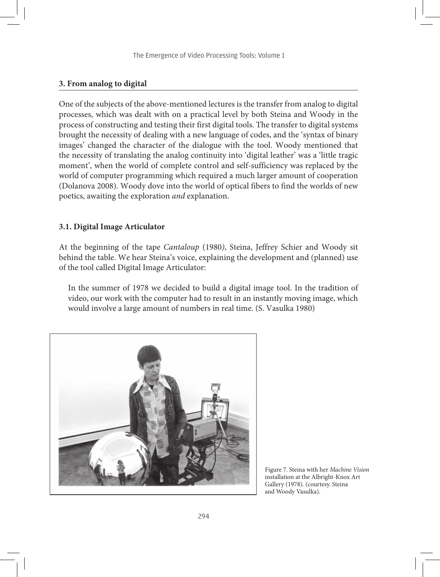# **3. From analog to digital**

One of the subjects of the above-mentioned lectures is the transfer from analog to digital processes, which was dealt with on a practical level by both Steina and Woody in the process of constructing and testing their first digital tools. The transfer to digital systems brought the necessity of dealing with a new language of codes, and the 'syntax of binary images' changed the character of the dialogue with the tool. Woody mentioned that the necessity of translating the analog continuity into 'digital leather' was a 'little tragic moment', when the world of complete control and self-sufficiency was replaced by the world of computer programming which required a much larger amount of cooperation (Dolanova 2008). Woody dove into the world of optical fibers to find the worlds of new poetics, awaiting the exploration *and* explanation.

### **3.1. Digital Image Articulator**

At the beginning of the tape *Cantaloup* (1980*)*, Steina, Jeffrey Schier and Woody sit behind the table. We hear Steina's voice, explaining the development and (planned) use of the tool called Digital Image Articulator:

In the summer of 1978 we decided to build a digital image tool. In the tradition of video, our work with the computer had to result in an instantly moving image, which would involve a large amount of numbers in real time. (S. Vasulka 1980)



Figure 7. Steina with her *Machine Vision*  installation at the Albright-Knox Art Gallery (1978). (courtesy. Steina and Woody Vasulka).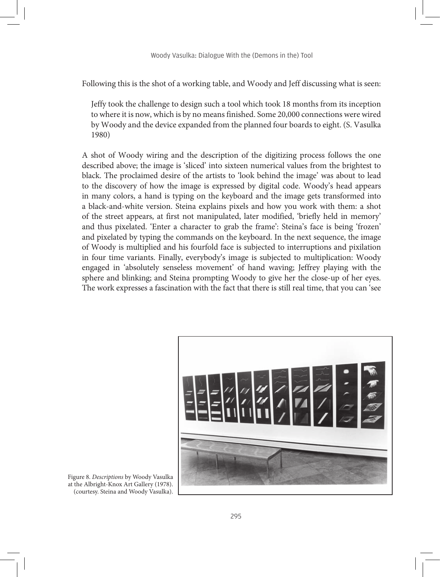Following this is the shot of a working table, and Woody and Jeff discussing what is seen:

Jeffy took the challenge to design such a tool which took 18 months from its inception to where it is now, which is by no means finished. Some 20,000 connections were wired by Woody and the device expanded from the planned four boards to eight. (S. Vasulka 1980)

A shot of Woody wiring and the description of the digitizing process follows the one described above; the image is 'sliced' into sixteen numerical values from the brightest to black. The proclaimed desire of the artists to 'look behind the image' was about to lead to the discovery of how the image is expressed by digital code. Woody's head appears in many colors, a hand is typing on the keyboard and the image gets transformed into a black-and-white version. Steina explains pixels and how you work with them: a shot of the street appears, at first not manipulated, later modified, 'briefly held in memory' and thus pixelated. 'Enter a character to grab the frame': Steina's face is being 'frozen' and pixelated by typing the commands on the keyboard. In the next sequence, the image of Woody is multiplied and his fourfold face is subjected to interruptions and pixilation in four time variants. Finally, everybody's image is subjected to multiplication: Woody engaged in 'absolutely senseless movement' of hand waving; Jeffrey playing with the sphere and blinking; and Steina prompting Woody to give her the close-up of her eyes. The work expresses a fascination with the fact that there is still real time, that you can 'see



Figure 8. *Descriptions* by Woody Vasulka at the Albright-Knox Art Gallery (1978). (courtesy. Steina and Woody Vasulka).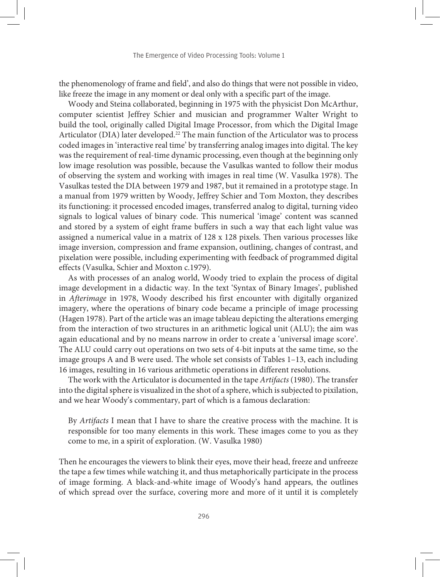the phenomenology of frame and field', and also do things that were not possible in video, like freeze the image in any moment or deal only with a specific part of the image.

Woody and Steina collaborated, beginning in 1975 with the physicist Don McArthur, computer scientist Jeffrey Schier and musician and programmer Walter Wright to build the tool, originally called Digital Image Processor, from which the Digital Image Articulator (DIA) later developed.<sup>22</sup> The main function of the Articulator was to process coded images in 'interactive real time' by transferring analog images into digital. The key was the requirement of real-time dynamic processing, even though at the beginning only low image resolution was possible, because the Vasulkas wanted to follow their modus of observing the system and working with images in real time (W. Vasulka 1978). The Vasulkas tested the DIA between 1979 and 1987, but it remained in a prototype stage. In a manual from 1979 written by Woody, Jeffrey Schier and Tom Moxton, they describes its functioning: it processed encoded images, transferred analog to digital, turning video signals to logical values of binary code. This numerical 'image' content was scanned and stored by a system of eight frame buffers in such a way that each light value was assigned a numerical value in a matrix of 128 x 128 pixels. Then various processes like image inversion, compression and frame expansion, outlining, changes of contrast, and pixelation were possible, including experimenting with feedback of programmed digital effects (Vasulka, Schier and Moxton c.1979).

As with processes of an analog world, Woody tried to explain the process of digital image development in a didactic way. In the text 'Syntax of Binary Images', published in *Afterimage* in 1978, Woody described his first encounter with digitally organized imagery, where the operations of binary code became a principle of image processing (Hagen 1978). Part of the article was an image tableau depicting the alterations emerging from the interaction of two structures in an arithmetic logical unit (ALU); the aim was again educational and by no means narrow in order to create a 'universal image score'. The ALU could carry out operations on two sets of 4-bit inputs at the same time, so the image groups A and B were used. The whole set consists of Tables 1–13, each including 16 images, resulting in 16 various arithmetic operations in different resolutions.

The work with the Articulator is documented in the tape *Artifacts* (1980). The transfer into the digital sphere is visualized in the shot of a sphere, which is subjected to pixilation, and we hear Woody's commentary, part of which is a famous declaration:

By *Artifacts* I mean that I have to share the creative process with the machine. It is responsible for too many elements in this work. These images come to you as they come to me, in a spirit of exploration. (W. Vasulka 1980)

Then he encourages the viewers to blink their eyes, move their head, freeze and unfreeze the tape a few times while watching it, and thus metaphorically participate in the process of image forming. A black-and-white image of Woody's hand appears, the outlines of which spread over the surface, covering more and more of it until it is completely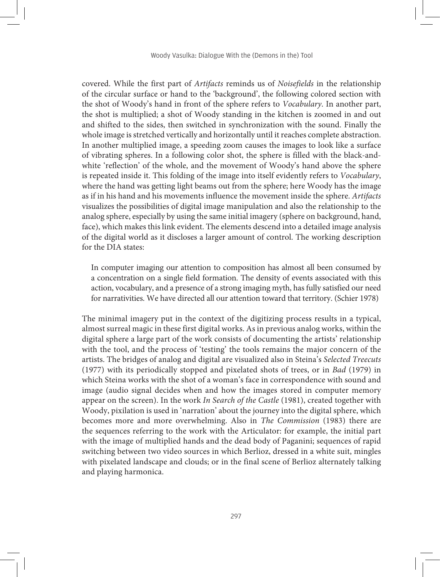covered. While the first part of *Artifacts* reminds us of *Noisefields* in the relationship of the circular surface or hand to the 'background', the following colored section with the shot of Woody's hand in front of the sphere refers to *Vocabulary*. In another part, the shot is multiplied; a shot of Woody standing in the kitchen is zoomed in and out and shifted to the sides, then switched in synchronization with the sound. Finally the whole image is stretched vertically and horizontally until it reaches complete abstraction. In another multiplied image, a speeding zoom causes the images to look like a surface of vibrating spheres. In a following color shot, the sphere is filled with the black-andwhite 'reflection' of the whole, and the movement of Woody's hand above the sphere is repeated inside it. This folding of the image into itself evidently refers to *Vocabulary*, where the hand was getting light beams out from the sphere; here Woody has the image as if in his hand and his movements influence the movement inside the sphere. *Artifacts* visualizes the possibilities of digital image manipulation and also the relationship to the analog sphere, especially by using the same initial imagery (sphere on background, hand, face), which makes this link evident. The elements descend into a detailed image analysis of the digital world as it discloses a larger amount of control. The working description for the DIA states:

In computer imaging our attention to composition has almost all been consumed by a concentration on a single field formation. The density of events associated with this action, vocabulary, and a presence of a strong imaging myth, has fully satisfied our need for narrativities. We have directed all our attention toward that territory. (Schier 1978)

The minimal imagery put in the context of the digitizing process results in a typical, almost surreal magic in these first digital works. As in previous analog works, within the digital sphere a large part of the work consists of documenting the artists' relationship with the tool, and the process of 'testing' the tools remains the major concern of the artists. The bridges of analog and digital are visualized also in Steina's *Selected Treecuts* (1977) with its periodically stopped and pixelated shots of trees, or in *Bad* (1979) in which Steina works with the shot of a woman's face in correspondence with sound and image (audio signal decides when and how the images stored in computer memory appear on the screen). In the work *In Search of the Castle* (1981), created together with Woody, pixilation is used in 'narration' about the journey into the digital sphere, which becomes more and more overwhelming. Also in *The Commission* (1983) there are the sequences referring to the work with the Articulator: for example, the initial part with the image of multiplied hands and the dead body of Paganini; sequences of rapid switching between two video sources in which Berlioz, dressed in a white suit, mingles with pixelated landscape and clouds; or in the final scene of Berlioz alternately talking and playing harmonica.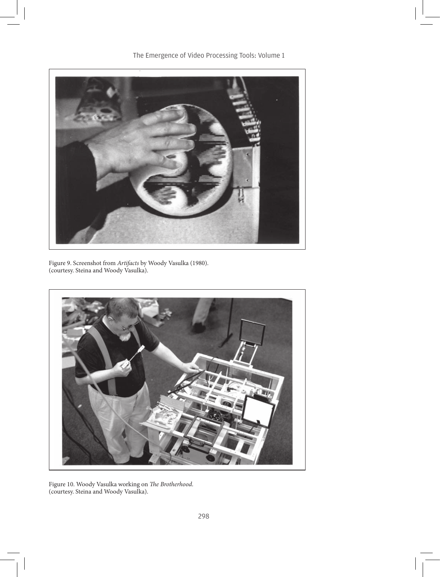

Figure 9. Screenshot from *Artifacts* by Woody Vasulka (1980). (courtesy. Steina and Woody Vasulka).



Figure 10. Woody Vasulka working on *The Brotherhood*. (courtesy. Steina and Woody Vasulka).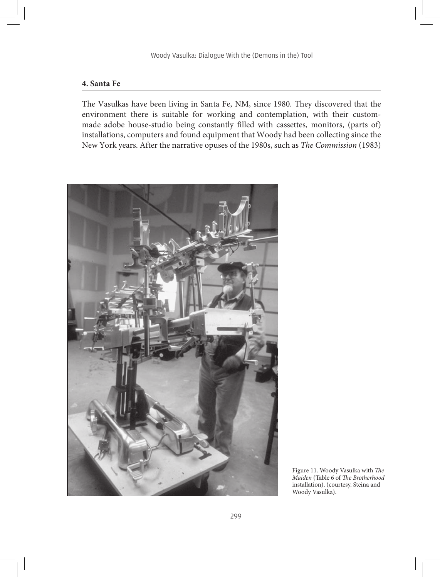#### **4. Santa Fe**

The Vasulkas have been living in Santa Fe, NM, since 1980. They discovered that the environment there is suitable for working and contemplation, with their custommade adobe house-studio being constantly filled with cassettes, monitors, (parts of) installations, computers and found equipment that Woody had been collecting since the New York years. After the narrative opuses of the 1980s, such as *The Commission* (1983)



Figure 11. Woody Vasulka with *The Maiden* (Table 6 of *The Brotherhood* installation). (courtesy. Steina and Woody Vasulka).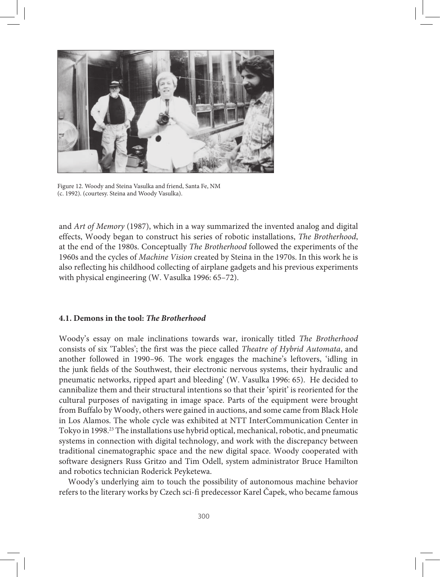

Figure 12. Woody and Steina Vasulka and friend, Santa Fe, NM (c. 1992). (courtesy. Steina and Woody Vasulka).

and *Art of Memory* (1987), which in a way summarized the invented analog and digital effects, Woody began to construct his series of robotic installations, *The Brotherhood*, at the end of the 1980s. Conceptually *The Brotherhood* followed the experiments of the 1960s and the cycles of *Machine Vision* created by Steina in the 1970s. In this work he is also reflecting his childhood collecting of airplane gadgets and his previous experiments with physical engineering (W. Vasulka 1996: 65–72).

#### **4.1. Demons in the tool:** *The Brotherhood*

Woody's essay on male inclinations towards war, ironically titled *The Brotherhood* consists of six 'Tables'; the first was the piece called *Theatre of Hybrid Automata*, and another followed in 1990–96. The work engages the machine's leftovers, 'idling in the junk fields of the Southwest, their electronic nervous systems, their hydraulic and pneumatic networks, ripped apart and bleeding' (W. Vasulka 1996: 65). He decided to cannibalize them and their structural intentions so that their 'spirit' is reoriented for the cultural purposes of navigating in image space. Parts of the equipment were brought from Buffalo by Woody, others were gained in auctions, and some came from Black Hole in Los Alamos. The whole cycle was exhibited at NTT InterCommunication Center in Tokyo in 1998.23 The installations use hybrid optical, mechanical, robotic, and pneumatic systems in connection with digital technology, and work with the discrepancy between traditional cinematographic space and the new digital space. Woody cooperated with software designers Russ Gritzo and Tim Odell, system administrator Bruce Hamilton and robotics technician Roderick Peyketewa.

Woody's underlying aim to touch the possibility of autonomous machine behavior refers to the literary works by Czech sci-fi predecessor Karel Čapek, who became famous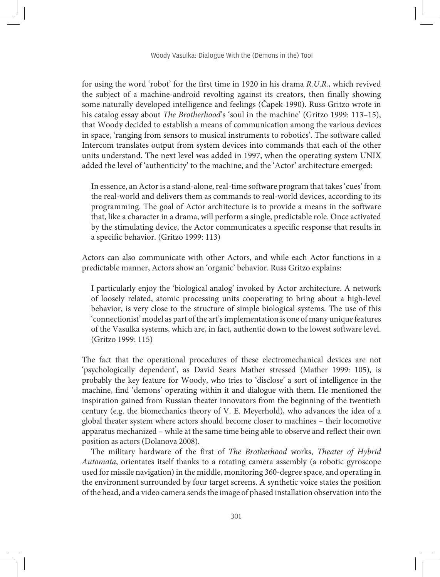for using the word 'robot' for the first time in 1920 in his drama *R.U.R.*, which revived the subject of a machine-android revolting against its creators, then finally showing some naturally developed intelligence and feelings (Čapek 1990). Russ Gritzo wrote in his catalog essay about *The Brotherhood*'s 'soul in the machine' (Gritzo 1999: 113–15), that Woody decided to establish a means of communication among the various devices in space, 'ranging from sensors to musical instruments to robotics'. The software called Intercom translates output from system devices into commands that each of the other units understand. The next level was added in 1997, when the operating system UNIX added the level of 'authenticity' to the machine, and the 'Actor' architecture emerged:

In essence, an Actor is a stand-alone, real-time software program that takes 'cues' from the real-world and delivers them as commands to real-world devices, according to its programming. The goal of Actor architecture is to provide a means in the software that, like a character in a drama, will perform a single, predictable role. Once activated by the stimulating device, the Actor communicates a specific response that results in a specific behavior. (Gritzo 1999: 113)

Actors can also communicate with other Actors, and while each Actor functions in a predictable manner, Actors show an 'organic' behavior. Russ Gritzo explains:

I particularly enjoy the 'biological analog' invoked by Actor architecture. A network of loosely related, atomic processing units cooperating to bring about a high-level behavior, is very close to the structure of simple biological systems. The use of this 'connectionist' model as part of the art's implementation is one of many unique features of the Vasulka systems, which are, in fact, authentic down to the lowest software level. (Gritzo 1999: 115)

The fact that the operational procedures of these electromechanical devices are not 'psychologically dependent', as David Sears Mather stressed (Mather 1999: 105), is probably the key feature for Woody, who tries to 'disclose' a sort of intelligence in the machine, find 'demons' operating within it and dialogue with them. He mentioned the inspiration gained from Russian theater innovators from the beginning of the twentieth century (e.g. the biomechanics theory of V. E. Meyerhold), who advances the idea of a global theater system where actors should become closer to machines – their locomotive apparatus mechanized – while at the same time being able to observe and reflect their own position as actors (Dolanova 2008).

The military hardware of the first of *The Brotherhood* works, *Theater of Hybrid Automata*, orientates itself thanks to a rotating camera assembly (a robotic gyroscope used for missile navigation) in the middle, monitoring 360-degree space, and operating in the environment surrounded by four target screens. A synthetic voice states the position of the head, and a video camera sends the image of phased installation observation into the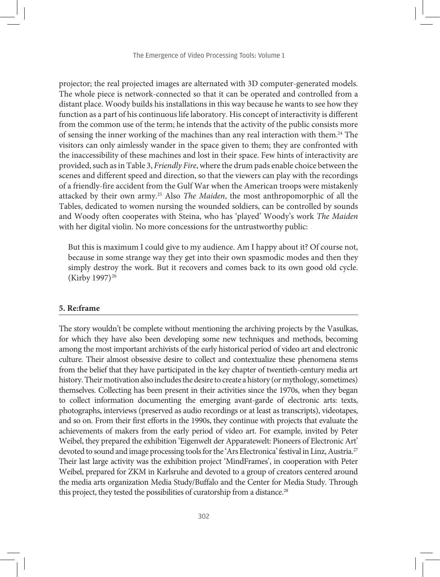projector; the real projected images are alternated with 3D computer-generated models. The whole piece is network-connected so that it can be operated and controlled from a distant place. Woody builds his installations in this way because he wants to see how they function as a part of his continuous life laboratory. His concept of interactivity is different from the common use of the term; he intends that the activity of the public consists more of sensing the inner working of the machines than any real interaction with them.<sup>24</sup> The visitors can only aimlessly wander in the space given to them; they are confronted with the inaccessibility of these machines and lost in their space. Few hints of interactivity are provided, such as in Table 3, *Friendly Fire*, where the drum pads enable choice between the scenes and different speed and direction, so that the viewers can play with the recordings of a friendly-fire accident from the Gulf War when the American troops were mistakenly attacked by their own army.25 Also *The Maiden*, the most anthropomorphic of all the Tables, dedicated to women nursing the wounded soldiers, can be controlled by sounds and Woody often cooperates with Steina, who has 'played' Woody's work *The Maiden* with her digital violin. No more concessions for the untrustworthy public:

But this is maximum I could give to my audience. Am I happy about it? Of course not, because in some strange way they get into their own spasmodic modes and then they simply destroy the work. But it recovers and comes back to its own good old cycle. (Kirby 1997)<sup>26</sup>

# **5. Re:frame**

The story wouldn't be complete without mentioning the archiving projects by the Vasulkas, for which they have also been developing some new techniques and methods, becoming among the most important archivists of the early historical period of video art and electronic culture. Their almost obsessive desire to collect and contextualize these phenomena stems from the belief that they have participated in the key chapter of twentieth-century media art history. Their motivation also includes the desire to create a history (or mythology, sometimes) themselves. Collecting has been present in their activities since the 1970s, when they began to collect information documenting the emerging avant-garde of electronic arts: texts, photographs, interviews (preserved as audio recordings or at least as transcripts), videotapes, and so on. From their first efforts in the 1990s, they continue with projects that evaluate the achievements of makers from the early period of video art. For example, invited by Peter Weibel, they prepared the exhibition 'Eigenwelt der Apparatewelt: Pioneers of Electronic Art' devoted to sound and image processing tools for the 'Ars Electronica' festival in Linz, Austria.<sup>27</sup> Their last large activity was the exhibition project 'MindFrames', in cooperation with Peter Weibel, prepared for ZKM in Karlsruhe and devoted to a group of creators centered around the media arts organization Media Study/Buffalo and the Center for Media Study. Through this project, they tested the possibilities of curatorship from a distance.<sup>28</sup>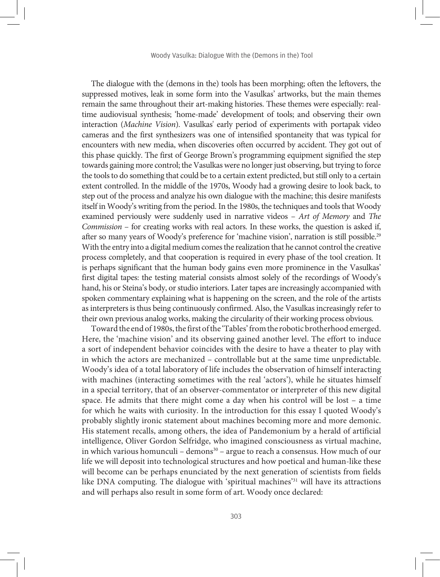The dialogue with the (demons in the) tools has been morphing; often the leftovers, the suppressed motives, leak in some form into the Vasulkas' artworks, but the main themes remain the same throughout their art-making histories. These themes were especially: realtime audiovisual synthesis; 'home-made' development of tools; and observing their own interaction (*Machine Vision*). Vasulkas' early period of experiments with portapak video cameras and the first synthesizers was one of intensified spontaneity that was typical for encounters with new media, when discoveries often occurred by accident. They got out of this phase quickly. The first of George Brown's programming equipment signified the step towards gaining more control; the Vasulkas were no longer just observing, but trying to force the tools to do something that could be to a certain extent predicted, but still only to a certain extent controlled. In the middle of the 1970s, Woody had a growing desire to look back, to step out of the process and analyze his own dialogue with the machine; this desire manifests itself in Woody's writing from the period. In the 1980s, the techniques and tools that Woody examined perviously were suddenly used in narrative videos – *Art of Memory* and *The Commission* – for creating works with real actors. In these works, the question is asked if, after so many years of Woody's preference for 'machine vision', narration is still possible.<sup>29</sup> With the entry into a digital medium comes the realization that he cannot control the creative process completely, and that cooperation is required in every phase of the tool creation. It is perhaps significant that the human body gains even more prominence in the Vasulkas' first digital tapes: the testing material consists almost solely of the recordings of Woody's hand, his or Steina's body, or studio interiors. Later tapes are increasingly accompanied with spoken commentary explaining what is happening on the screen, and the role of the artists as interpreters is thus being continuously confirmed. Also, the Vasulkas increasingly refer to their own previous analog works, making the circularity of their working process obvious.

Toward the end of 1980s, the first of the 'Tables' from the robotic brotherhood emerged. Here, the 'machine vision' and its observing gained another level. The effort to induce a sort of independent behavior coincides with the desire to have a theater to play with in which the actors are mechanized – controllable but at the same time unpredictable. Woody's idea of a total laboratory of life includes the observation of himself interacting with machines (interacting sometimes with the real 'actors'), while he situates himself in a special territory, that of an observer-commentator or interpreter of this new digital space. He admits that there might come a day when his control will be lost  $-$  a time for which he waits with curiosity. In the introduction for this essay I quoted Woody's probably slightly ironic statement about machines becoming more and more demonic. His statement recalls, among others, the idea of Pandemonium by a herald of artificial intelligence, Oliver Gordon Selfridge, who imagined consciousness as virtual machine, in which various homunculi – demons<sup>30</sup> – argue to reach a consensus. How much of our life we will deposit into technological structures and how poetical and human-like these will become can be perhaps enunciated by the next generation of scientists from fields like DNA computing. The dialogue with 'spiritual machines'31 will have its attractions and will perhaps also result in some form of art. Woody once declared: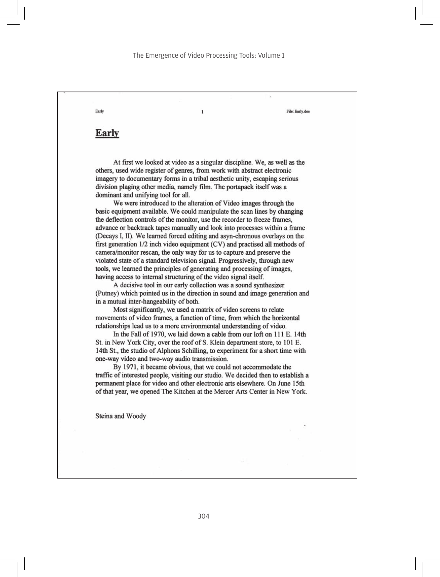Early

File: Early.doc

# **Early**

At first we looked at video as a singular discipline. We, as well as the others, used wide register of genres, from work with abstract electronic imagery to documentary forms in a tribal aesthetic unity, escaping serious division plaging other media, namely film. The portapack itself was a dominant and unifying tool for all.

 $\mathbf{1}$ 

We were introduced to the alteration of Video images through the basic equipment available. We could manipulate the scan lines by changing the deflection controls of the monitor, use the recorder to freeze frames, advance or backtrack tapes manually and look into processes within a frame (Decays I, II). We learned forced editing and asyn-chronous overlays on the first generation 1/2 inch video equipment (CV) and practised all methods of camera/monitor rescan, the only way for us to capture and preserve the violated state of a standard television signal. Progressively, through new tools, we learned the principles of generating and processing of images, having access to internal structuring of the video signal itself.

A decisive tool in our early collection was a sound synthesizer (Putney) which pointed us in the direction in sound and image generation and in a mutual inter-hangeability of both.

Most significantly, we used a matrix of video screens to relate movements of video frames, a function of time, from which the horizontal relationships lead us to a more environmental understanding of video.

In the Fall of 1970, we laid down a cable from our loft on 111 E. 14th St. in New York City, over the roof of S. Klein department store, to 101 E. 14th St., the studio of Alphons Schilling, to experiment for a short time with one-way video and two-way audio transmission.

By 1971, it became obvious, that we could not accommodate the traffic of interested people, visiting our studio. We decided then to establish a permanent place for video and other electronic arts elsewhere. On June 15th of that year, we opened The Kitchen at the Mercer Arts Center in New York.

Steina and Woody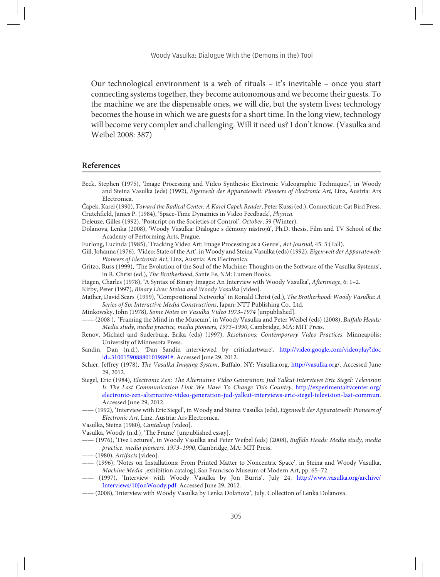Our technological environment is a web of rituals – it's inevitable – once you start connecting systems together, they become autonomous and we become their guests. To the machine we are the dispensable ones, we will die, but the system lives; technology becomes the house in which we are guests for a short time. In the long view, technology will become very complex and challenging. Will it need us? I don't know. (Vasulka and Weibel 2008: 387)

#### **References**

- Beck, Stephen (1975), 'Image Processing and Video Synthesis: Electronic Videographic Techniques', in Woody and Steina Vasulka (eds) (1992), *Eigenwelt der Apparatewelt: Pioneers of Electronic Art*, Linz, Austria: Ars Electronica.
- Ĉapek, Karel (1990), *Toward the Radical Center: A Karel Capek Reader*, Peter Kussi (ed.), Connecticut: Cat Bird Press. Crutchfield, James P. (1984), 'Space-Time Dynamics in Video Feedback', *Physica*.
- Deleuze, Gilles (1992), 'Postcript on the Societies of Control', *October*, 59 (Winter).
- Dolanova, Lenka (2008), 'Woody Vasulka: Dialogue s démony nástrojů', Ph.D. thesis, Film and TV School of the Academy of Performing Arts, Prague.
- Furlong, Lucinda (1985), 'Tracking Video Art: Image Processing as a Genre', *Art Journal*, 45: 3 (Fall).
- Gill, Johanna (1976), 'Video: State of the Art', in Woody and Steina Vasulka (eds) (1992), *Eigenwelt der Apparatewelt: Pioneers of Electronic Art*, Linz, Austria: Ars Electronica.
- Gritzo, Russ (1999), 'The Evolution of the Soul of the Machine: Thoughts on the Software of the Vasulka Systems', in R. Christ (ed.), *The Brotherhood*, Sante Fe, NM: Lumen Books.
- Hagen, Charles (1978), 'A Syntax of Binary Images: An Interview with Woody Vasulka', *Afterimage*, 6: 1–2.
- Kirby, Peter (1997), *Binary Lives: Steina and Woody Vasulka* [video].
- Mather, David Sears (1999), "Compositional Networks" in Ronald Christ (ed.), *The Brotherhood: Woody Vasulka: A Series of Six Interactive Media Constructions*, Japan: NTT Publishing Co., Ltd.
- Minkowsky, John (1978), *Some Notes on Vasulka Video 1973–1974* [unpublished].
- —— (2008 ), 'Framing the Mind in the Museum', in Woody Vasulka and Peter Weibel (eds) (2008), *Buffalo Heads: Media study, media practice, media pioneers, 1973–1990*, Cambridge, MA: MIT Press.
- Renov, Michael and Suderburg, Erika (eds) (1997), *Resolutions: Contemporary Video Practices*, Minneapolis: University of Minnesota Press.
- Sandin, Dan (n.d.), 'Dan Sandin interviewed by criticalartware', http://video.google.com/videoplay?doc id=3100159088801019891#. Accessed June 29, 2012.
- Schier, Jeffrey (1978), *The Vasulka Imaging System*, Buffalo, NY: Vasulka.org, http://vasulka.org/. Accessed June 29, 2012.
- Siegel, Eric (1984), *Electronic Zen: The Alternative Video Generation: Jud Yalkut Interviews Eric Siegel: Television Is The Last Communication Link We Have To Change This Country*, http://experimentaltvcenter.org/ electronic-zen-alternative-video-generation-jud-yalkut-interviews-eric-siegel-television-last-commun. Accessed June 29, 2012.
- —— (1992), 'Interview with Eric Siegel', in Woody and Steina Vasulka (eds), *Eigenwelt der Apparatewelt: Pioneers of Electronic Art*, Linz, Austria: Ars Electronica.
- Vasulka, Steina (1980), *Cantaloup* [video].
- Vasulka, Woody (n.d.), 'The Frame' [unpublished essay].
- —— (1976), 'Five Lectures', in Woody Vasulka and Peter Weibel (eds) (2008), *Buffalo Heads: Media study, media practice, media pioneers, 1973–1990*, Cambridge, MA: MIT Press.
- —— (1980), *Artifacts* [video].
- —— (1996), 'Notes on Installations: From Printed Matter to Noncentric Space', in Steina and Woody Vasulka, *Machine Media* [exhibition catalog], San Francisco Museum of Modern Art, pp. 65–72.
- —— (1997), 'Interview with Woody Vasulka by Jon Burris', July 24, http://www.vasulka.org/archive/ Interviews/10JonWoody.pdf. Accessed June 29, 2012.
- —— (2008), 'Interview with Woody Vasulka by Lenka Dolanova', July. Collection of Lenka Dolanova.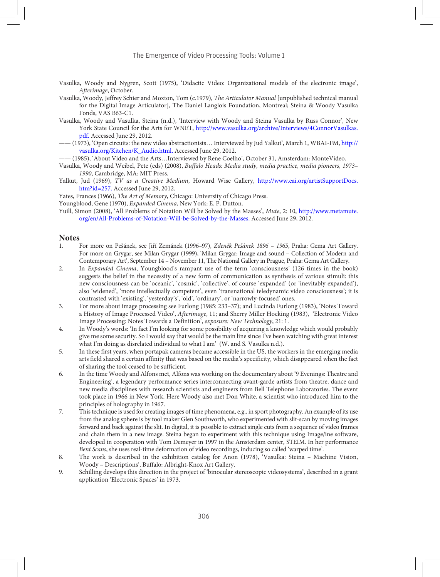- Vasulka, Woody and Nygren, Scott (1975), 'Didactic Video: Organizational models of the electronic image', *Afterimage*, October.
- Vasulka, Woody, Jeffrey Schier and Moxton, Tom (c.1979), *The Articulator Manual* [unpublished technical manual for the Digital Image Articulator], The Daniel Langlois Foundation, Montreal; Steina & Woody Vasulka Fonds, VAS B63-C1.
- Vasulka, Woody and Vasulka, Steina (n.d.), 'Interview with Woody and Steina Vasulka by Russ Connor', New York State Council for the Arts for WNET, http://www.vasulka.org/archive/Interviews/4ConnorVasulkas. pdf. Accessed June 29, 2012.
- —— (1973), 'Open circuits: the new video abstractionists... Interviewed by Jud Yalkut', March 1, WBAI-FM, http:// vasulka.org/Kitchen/K\_Audio.html. Accessed June 29, 2012.
- —— (1985), 'About Video and the Arts…Interviewed by Rene Coelho', October 31, Amsterdam: MonteVideo.
- Vasulka, Woody and Weibel, Pete (eds) (2008), *Buffalo Heads: Media study, media practice, media pioneers, 1973– 1990*, Cambridge, MA: MIT Press.
- Yalkut, Jud (1969), *TV as a Creative Medium*, Howard Wise Gallery, http://www.eai.org/artistSupportDocs. htm?id=257. Accessed June 29, 2012.
- Yates, Frances (1966), *The Art of Memory*, Chicago: University of Chicago Press.
- Youngblood, Gene (1970), *Expanded Cinema*, New York: E. P. Dutton.
- Yuill, Simon (2008), 'All Problems of Notation Will be Solved by the Masses', *Mute*, 2: 10, http://www.metamute. org/en/All-Problems-of-Notation-Will-be-Solved-by-the-Masses. Accessed June 29, 2012.

# **Notes**

- 1. For more on Pešánek, see Jiří Zemánek (1996–97), *Zdeněk Pešánek 1896 1965*, Praha: Gema Art Gallery. For more on Grygar, see Milan Grygar (1999), 'Milan Grygar: Image and sound – Collection of Modern and Contemporary Art', September 14 – November 11, The National Gallery in Prague, Praha: Gema Art Gallery.
- 2. In *Expanded Cinema*, Youngblood's rampant use of the term 'consciousness' (126 times in the book) suggests the belief in the necessity of a new form of communication as synthesis of various stimuli: this new consciousness can be 'oceanic', 'cosmic', 'collective', of course 'expanded' (or 'inevitably expanded'), also 'widened', 'more intellectually competent', even 'transnational teledynamic video consciousness'; it is contrasted with 'existing', 'yesterday's', 'old', 'ordinary', or 'narrowly-focused' ones.
- 3. For more about image processing see Furlong (1985: 233–37); and Lucinda Furlong (1983), 'Notes Toward a History of Image Processed Video', *Afterimage*, 11; and Sherry Miller Hocking (1983), 'Electronic Video Image Processing: Notes Towards a Definition', *exposure: New Technology*, 21: 1.
- 4. In Woody's words: 'In fact I'm looking for some possibility of acquiring a knowledge which would probably give me some security. So I would say that would be the main line since I've been watching with great interest what I'm doing as disrelated individual to what I am' (W. and S. Vasulka n.d.).
- 5. In these first years, when portapak cameras became accessible in the US, the workers in the emerging media arts field shared a certain affinity that was based on the media's specificity, which disappeared when the fact of sharing the tool ceased to be sufficient.
- 6. In the time Woody and Alfons met, Alfons was working on the documentary about '9 Evenings: Theatre and Engineering', a legendary performance series interconnecting avant-garde artists from theatre, dance and new media disciplines with research scientists and engineers from Bell Telephone Laboratories. The event took place in 1966 in New York. Here Woody also met Don White, a scientist who introduced him to the principles of holography in 1967.
- 7. This technique is used for creating images of time phenomena, e.g., in sport photography. An example of its use from the analog sphere is by tool maker Glen Southworth, who experimented with slit-scan by moving images forward and back against the slit. In digital, it is possible to extract single cuts from a sequence of video frames and chain them in a new image. Steina began to experiment with this technique using Image/ine software, developed in cooperation with Tom Demeyer in 1997 in the Amsterdam center, STEIM. In her performance *Bent Scans*, she uses real-time deformation of video recordings, inducing so called 'warped time'.
- 8. The work is described in the exhibition catalog for Anon (1978), 'Vasulka: Steina Machine Vision, Woody – Descriptions', Buffalo: Albright-Knox Art Gallery.
- 9. Schilling develops this direction in the project of 'binocular stereoscopic videosystems', described in a grant application 'Electronic Spaces' in 1973.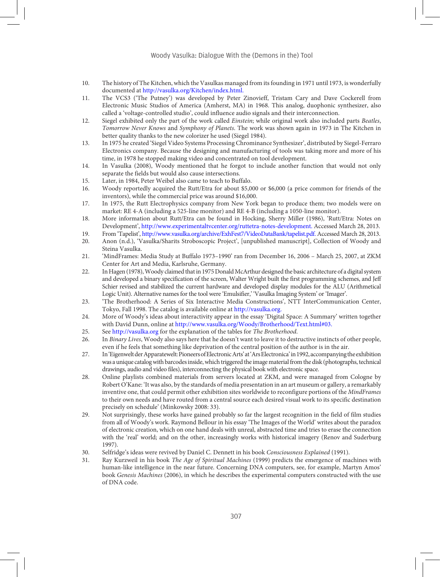- 10. The history of The Kitchen, which the Vasulkas managed from its founding in 1971 until 1973, is wonderfully documented at http://vasulka.org/Kitchen/index.html.
- 11. The VCS3 ('The Putney') was developed by Peter Zinovieff, Tristam Cary and Dave Cockerell from Electronic Music Studios of America (Amherst, MA) in 1968. This analog, duophonic synthesizer, also called a 'voltage-controlled studio', could influence audio signals and their interconnection.
- 12. Siegel exhibited only the part of the work called *Einstein*; while original work also included parts *Beatles*, *Tomorrow Never Knows* and *Symphony of Planets*. The work was shown again in 1973 in The Kitchen in better quality thanks to the new colorizer he used (Siegel 1984).
- 13. In 1975 he created 'Siegel Video Systems Processing Chrominance Synthesizer', distributed by Siegel-Ferraro Electronics company. Because the designing and manufacturing of tools was taking more and more of his time, in 1978 he stopped making video and concentrated on tool development.
- 14. In Vasulka (2008), Woody mentioned that he forgot to include another function that would not only separate the fields but would also cause intersections.
- 15. Later, in 1984, Peter Weibel also came to teach to Buffalo.
- 16. Woody reportedly acquired the Rutt/Etra for about \$5,000 or \$6,000 (a price common for friends of the inventors), while the commercial price was around \$16,000.
- 17. In 1975, the Rutt Electrophysics company from New York began to produce them; two models were on market: RE 4-A (including a 525-line monitor) and RE 4-B (including a 1050-line monitor).
- 18. More information about Rutt/Etra can be found in Hocking, Sherry Miller (1986), 'Rutt/Etra: Notes on Development', http://www.experimentaltvcenter.org/ruttetra-notes-development. Accessed March 28, 2013.
- 19. From 'Tapelist', http://www.vasulka.org/archive/ExhFest7/VideoDataBank/tapelist.pdf. Accessed March 28, 2013.
- 20. Anon (n.d.), 'Vasulka/Sharits Stroboscopic Project', [unpublished manuscript], Collection of Woody and Steina Vasulka.
- 21. 'MindFrames: Media Study at Buffalo 1973–1990' ran from December 16, 2006 March 25, 2007, at ZKM Center for Art and Media, Karlsruhe, Germany.
- 22. In Hagen (1978), Woody claimed that in 1975 Donald McArthur designed the basic architecture of a digital system and developed a binary specification of the screen, Walter Wright built the first programming schemes, and Jeff Schier revised and stabilized the current hardware and developed display modules for the ALU (Arithmetical Logic Unit). Alternative names for the tool were 'Emulsifier,' 'Vasulka Imaging System' or 'Imager'.
- 23. 'The Brotherhood: A Series of Six Interactive Media Constructions', NTT InterCommunication Center, Tokyo, Fall 1998. The catalog is available online at http://vasulka.org.
- 24. More of Woody's ideas about interactivity appear in the essay 'Digital Space: A Summary' written together with David Dunn, online at http://www.vasulka.org/Woody/Brotherhood/Text.html#03.
- 25. See http://vasulka.org for the explanation of the tables for *The Brotherhood*.
- 26. In *Binary Lives*, Woody also says here that he doesn't want to leave it to destructive instincts of other people, even if he feels that something like deprivation of the central position of the author is in the air.
- 27. In 'Eigenwelt der Apparatewelt: Pioneers of Electronic Arts' at 'Ars Electronica' in 1992, accompanying the exhibition was a unique catalog with barcodes inside, which triggered the image material from the disk (photographs, technical drawings, audio and video files), interconnecting the physical book with electronic space.
- 28. Online playlists combined materials from servers located at ZKM, and were managed from Cologne by Robert O'Kane: 'It was also, by the standards of media presentation in an art museum or gallery, a remarkably inventive one, that could permit other exhibition sites worldwide to reconfigure portions of the *MindFrames* to their own needs and have routed from a central source each desired visual work to its specific destination precisely on schedule' (Minkowsky 2008: 33).
- 29. Not surprisingly, these works have gained probably so far the largest recognition in the field of film studies from all of Woody's work. Raymond Bellour in his essay 'The Images of the World' writes about the paradox of electronic creation, which on one hand deals with unreal, abstracted time and tries to erase the connection with the 'real' world; and on the other, increasingly works with historical imagery (Renov and Suderburg 1997).
- 30. Selfridge's ideas were revived by Daniel C. Dennett in his book *Consciousness Explained* (1991).
- 31. Ray Kurzweil in his book *The Age of Spiritual Machines* (1999) predicts the emergence of machines with human-like intelligence in the near future. Concerning DNA computers, see, for example, Martyn Amos' book *Genesis Machines* (2006), in which he describes the experimental computers constructed with the use of DNA code.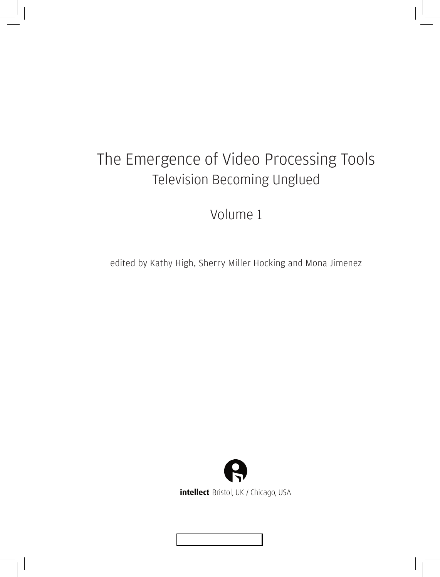# The Emergence of Video Processing Tools Television Becoming Unglued ro of Vidoo Proco  $\overline{a}$  of video it or

Volume 1

edited by Kathy High, Sherry Miller Hocking and Mona Jimenez

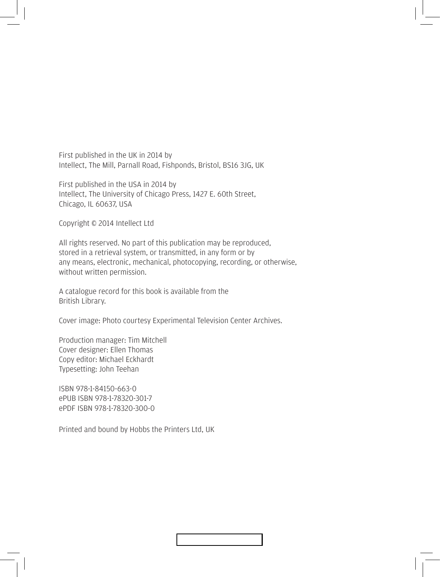First published in the UK in 2014 by Intellect, The Mill, Parnall Road, Fishponds, Bristol, BS16 3JG, UK

First published in the USA in 2014 by Intellect, The University of Chicago Press, 1427 E. 60th Street, Chicago, IL 60637, USA

Copyright © 2014 Intellect Ltd

All rights reserved. No part of this publication may be reproduced, stored in a retrieval system, or transmitted, in any form or by any means, electronic, mechanical, photocopying, recording, or otherwise, without written permission.

A catalogue record for this book is available from the British Library.

Cover image: Photo courtesy Experimental Television Center Archives.

Production manager: Tim Mitchell Cover designer: Ellen Thomas Copy editor: Michael Eckhardt Typesetting: John Teehan

ISBN 978-1-84150-663-0 ePUB ISBN 978-1-78320-301-7 ePDF ISBN 978-1-78320-300-0

Printed and bound by Hobbs the Printers Ltd, UK